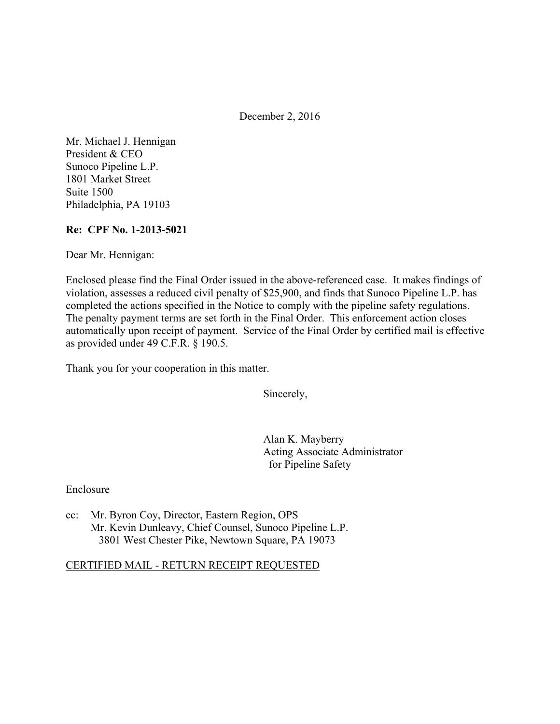December 2, 2016

Mr. Michael J. Hennigan President & CEO Sunoco Pipeline L.P. 1801 Market Street Suite 1500 Philadelphia, PA 19103

#### **Re: CPF No. 1-2013-5021**

Dear Mr. Hennigan:

Enclosed please find the Final Order issued in the above-referenced case. It makes findings of violation, assesses a reduced civil penalty of \$25,900, and finds that Sunoco Pipeline L.P. has completed the actions specified in the Notice to comply with the pipeline safety regulations. The penalty payment terms are set forth in the Final Order. This enforcement action closes automatically upon receipt of payment. Service of the Final Order by certified mail is effective as provided under 49 C.F.R. § 190.5.

Thank you for your cooperation in this matter.

Sincerely,

Alan K. Mayberry Acting Associate Administrator for Pipeline Safety

Enclosure

cc: Mr. Byron Coy, Director, Eastern Region, OPS Mr. Kevin Dunleavy, Chief Counsel, Sunoco Pipeline L.P. 3801 West Chester Pike, Newtown Square, PA 19073

### CERTIFIED MAIL - RETURN RECEIPT REQUESTED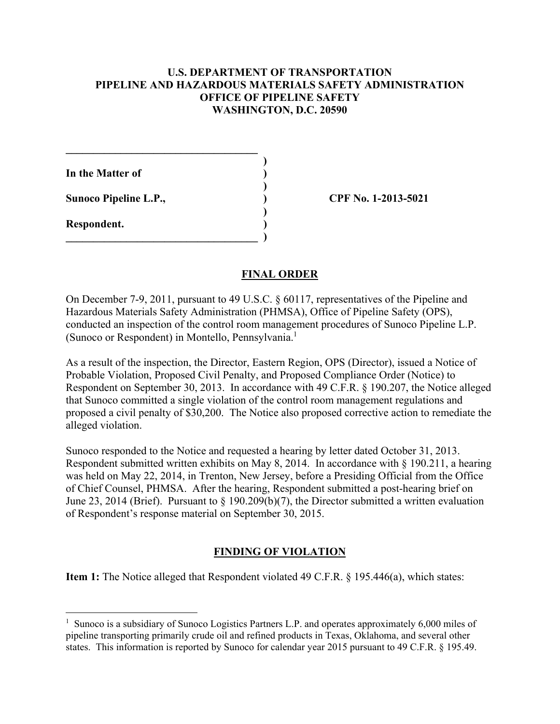### **U.S. DEPARTMENT OF TRANSPORTATION PIPELINE AND HAZARDOUS MATERIALS SAFETY ADMINISTRATION OFFICE OF PIPELINE SAFETY WASHINGTON, D.C. 20590**

**In the Matter of )** 

Sunoco Pipeline L.P., **(a) CPF No. 1-2013-5021** 

 $\mathcal{L}=\{1,2,3,4,5\}$  **)** 

 **)** 

 **)** 

 $\qquad \qquad \Box$ 

**Respondent. )** 

 $\overline{a}$ 

## **FINAL ORDER**

On December 7-9, 2011, pursuant to 49 U.S.C. § 60117, representatives of the Pipeline and Hazardous Materials Safety Administration (PHMSA), Office of Pipeline Safety (OPS), conducted an inspection of the control room management procedures of Sunoco Pipeline L.P. (Sunoco or Respondent) in Montello, Pennsylvania.<sup>1</sup>

As a result of the inspection, the Director, Eastern Region, OPS (Director), issued a Notice of Probable Violation, Proposed Civil Penalty, and Proposed Compliance Order (Notice) to Respondent on September 30, 2013. In accordance with 49 C.F.R. § 190.207, the Notice alleged that Sunoco committed a single violation of the control room management regulations and proposed a civil penalty of \$30,200. The Notice also proposed corrective action to remediate the alleged violation.

Sunoco responded to the Notice and requested a hearing by letter dated October 31, 2013. Respondent submitted written exhibits on May 8, 2014. In accordance with § 190.211, a hearing was held on May 22, 2014, in Trenton, New Jersey, before a Presiding Official from the Office of Chief Counsel, PHMSA. After the hearing, Respondent submitted a post-hearing brief on June 23, 2014 (Brief). Pursuant to § 190.209(b)(7), the Director submitted a written evaluation of Respondent's response material on September 30, 2015.

## **FINDING OF VIOLATION**

**Item 1:** The Notice alleged that Respondent violated 49 C.F.R. § 195.446(a), which states:

<sup>&</sup>lt;sup>1</sup> Sunoco is a subsidiary of Sunoco Logistics Partners L.P. and operates approximately 6,000 miles of pipeline transporting primarily crude oil and refined products in Texas, Oklahoma, and several other states. This information is reported by Sunoco for calendar year 2015 pursuant to 49 C.F.R. § 195.49.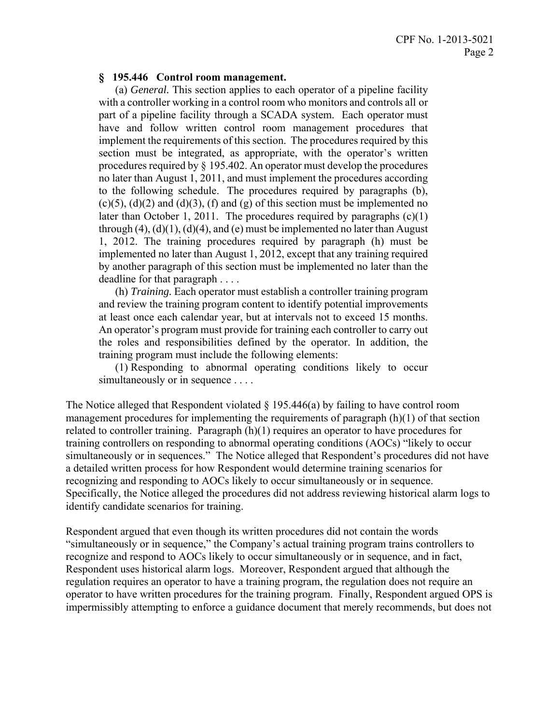#### **§ 195.446 Control room management.**

 (a) *General.* This section applies to each operator of a pipeline facility with a controller working in a control room who monitors and controls all or part of a pipeline facility through a SCADA system. Each operator must have and follow written control room management procedures that implement the requirements of this section. The procedures required by this section must be integrated, as appropriate, with the operator's written procedures required by § 195.402. An operator must develop the procedures no later than August 1, 2011, and must implement the procedures according to the following schedule. The procedures required by paragraphs (b),  $(c)(5)$ ,  $(d)(2)$  and  $(d)(3)$ ,  $(f)$  and  $(g)$  of this section must be implemented no later than October 1, 2011. The procedures required by paragraphs (c)(1) through  $(4)$ ,  $(d)(1)$ ,  $(d)(4)$ , and  $(e)$  must be implemented no later than August 1, 2012. The training procedures required by paragraph (h) must be implemented no later than August 1, 2012, except that any training required by another paragraph of this section must be implemented no later than the deadline for that paragraph . . . .

 (h) *Training.* Each operator must establish a controller training program and review the training program content to identify potential improvements at least once each calendar year, but at intervals not to exceed 15 months. An operator's program must provide for training each controller to carry out the roles and responsibilities defined by the operator. In addition, the training program must include the following elements:

 (1) Responding to abnormal operating conditions likely to occur simultaneously or in sequence . . . .

The Notice alleged that Respondent violated  $\S 195.446(a)$  by failing to have control room management procedures for implementing the requirements of paragraph (h)(1) of that section related to controller training. Paragraph (h)(1) requires an operator to have procedures for training controllers on responding to abnormal operating conditions (AOCs) "likely to occur simultaneously or in sequences." The Notice alleged that Respondent's procedures did not have a detailed written process for how Respondent would determine training scenarios for recognizing and responding to AOCs likely to occur simultaneously or in sequence. Specifically, the Notice alleged the procedures did not address reviewing historical alarm logs to identify candidate scenarios for training.

Respondent argued that even though its written procedures did not contain the words "simultaneously or in sequence," the Company's actual training program trains controllers to recognize and respond to AOCs likely to occur simultaneously or in sequence, and in fact, Respondent uses historical alarm logs. Moreover, Respondent argued that although the regulation requires an operator to have a training program, the regulation does not require an operator to have written procedures for the training program. Finally, Respondent argued OPS is impermissibly attempting to enforce a guidance document that merely recommends, but does not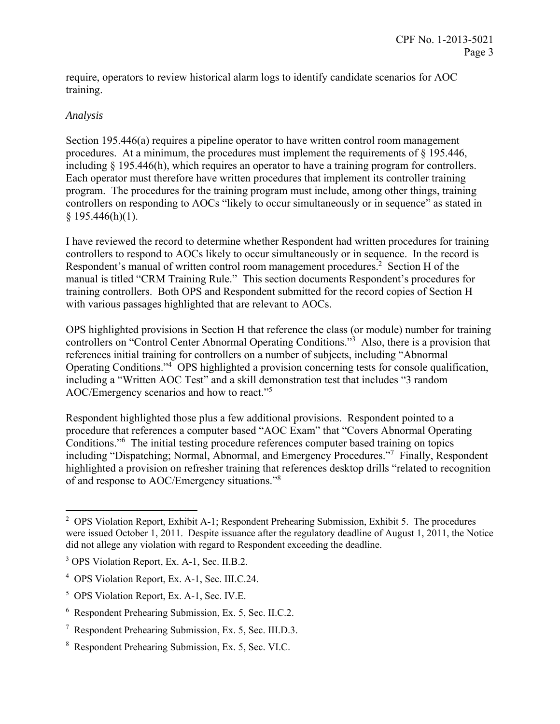require, operators to review historical alarm logs to identify candidate scenarios for AOC training.

## *Analysis*

1

Section 195.446(a) requires a pipeline operator to have written control room management procedures. At a minimum, the procedures must implement the requirements of § 195.446, including § 195.446(h), which requires an operator to have a training program for controllers. Each operator must therefore have written procedures that implement its controller training program. The procedures for the training program must include, among other things, training controllers on responding to AOCs "likely to occur simultaneously or in sequence" as stated in  $§$  195.446(h)(1).

I have reviewed the record to determine whether Respondent had written procedures for training controllers to respond to AOCs likely to occur simultaneously or in sequence. In the record is Respondent's manual of written control room management procedures.<sup>2</sup> Section H of the manual is titled "CRM Training Rule." This section documents Respondent's procedures for training controllers. Both OPS and Respondent submitted for the record copies of Section H with various passages highlighted that are relevant to AOCs.

OPS highlighted provisions in Section H that reference the class (or module) number for training controllers on "Control Center Abnormal Operating Conditions."<sup>3</sup> Also, there is a provision that references initial training for controllers on a number of subjects, including "Abnormal Operating Conditions."4 OPS highlighted a provision concerning tests for console qualification, including a "Written AOC Test" and a skill demonstration test that includes "3 random AOC/Emergency scenarios and how to react."5

Respondent highlighted those plus a few additional provisions. Respondent pointed to a procedure that references a computer based "AOC Exam" that "Covers Abnormal Operating Conditions."6 The initial testing procedure references computer based training on topics including "Dispatching; Normal, Abnormal, and Emergency Procedures."<sup>7</sup> Finally, Respondent highlighted a provision on refresher training that references desktop drills "related to recognition of and response to AOC/Emergency situations."8

<sup>&</sup>lt;sup>2</sup> OPS Violation Report, Exhibit A-1; Respondent Prehearing Submission, Exhibit 5. The procedures were issued October 1, 2011. Despite issuance after the regulatory deadline of August 1, 2011, the Notice did not allege any violation with regard to Respondent exceeding the deadline.

<sup>&</sup>lt;sup>3</sup> OPS Violation Report, Ex. A-1, Sec. II.B.2.

<sup>4</sup> OPS Violation Report, Ex. A-1, Sec. III.C.24.

<sup>5</sup> OPS Violation Report, Ex. A-1, Sec. IV.E.

<sup>6</sup> Respondent Prehearing Submission, Ex. 5, Sec. II.C.2.

<sup>7</sup> Respondent Prehearing Submission, Ex. 5, Sec. III.D.3.

<sup>8</sup> Respondent Prehearing Submission, Ex. 5, Sec. VI.C.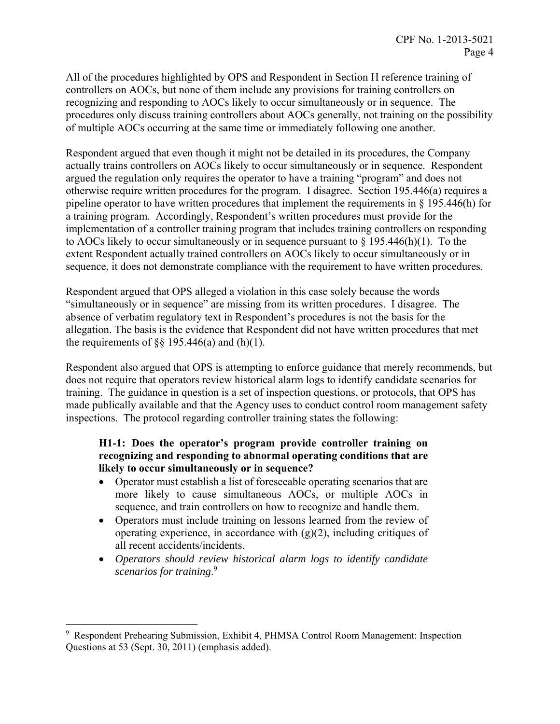All of the procedures highlighted by OPS and Respondent in Section H reference training of controllers on AOCs, but none of them include any provisions for training controllers on recognizing and responding to AOCs likely to occur simultaneously or in sequence. The procedures only discuss training controllers about AOCs generally, not training on the possibility of multiple AOCs occurring at the same time or immediately following one another.

Respondent argued that even though it might not be detailed in its procedures, the Company actually trains controllers on AOCs likely to occur simultaneously or in sequence. Respondent argued the regulation only requires the operator to have a training "program" and does not otherwise require written procedures for the program. I disagree. Section 195.446(a) requires a pipeline operator to have written procedures that implement the requirements in § 195.446(h) for a training program. Accordingly, Respondent's written procedures must provide for the implementation of a controller training program that includes training controllers on responding to AOCs likely to occur simultaneously or in sequence pursuant to  $\S$  195.446(h)(1). To the extent Respondent actually trained controllers on AOCs likely to occur simultaneously or in sequence, it does not demonstrate compliance with the requirement to have written procedures.

Respondent argued that OPS alleged a violation in this case solely because the words "simultaneously or in sequence" are missing from its written procedures. I disagree. The absence of verbatim regulatory text in Respondent's procedures is not the basis for the allegation. The basis is the evidence that Respondent did not have written procedures that met the requirements of  $\S$ § 195.446(a) and (h)(1).

Respondent also argued that OPS is attempting to enforce guidance that merely recommends, but does not require that operators review historical alarm logs to identify candidate scenarios for training. The guidance in question is a set of inspection questions, or protocols, that OPS has made publically available and that the Agency uses to conduct control room management safety inspections. The protocol regarding controller training states the following:

## **H1-1: Does the operator's program provide controller training on recognizing and responding to abnormal operating conditions that are likely to occur simultaneously or in sequence?**

- Operator must establish a list of foreseeable operating scenarios that are more likely to cause simultaneous AOCs, or multiple AOCs in sequence, and train controllers on how to recognize and handle them.
- Operators must include training on lessons learned from the review of operating experience, in accordance with  $(g)(2)$ , including critiques of all recent accidents/incidents.
- *Operators should review historical alarm logs to identify candidate scenarios for training*. 9

 $\overline{a}$ 

<sup>9</sup> Respondent Prehearing Submission, Exhibit 4, PHMSA Control Room Management: Inspection Questions at 53 (Sept. 30, 2011) (emphasis added).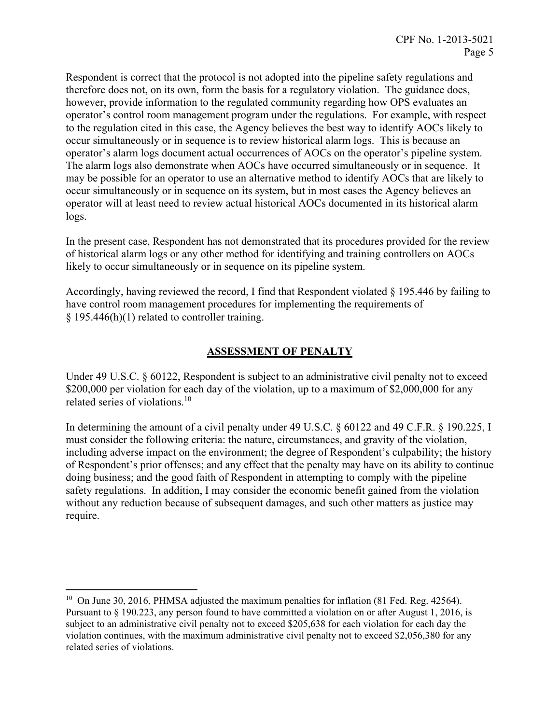Respondent is correct that the protocol is not adopted into the pipeline safety regulations and therefore does not, on its own, form the basis for a regulatory violation. The guidance does, however, provide information to the regulated community regarding how OPS evaluates an operator's control room management program under the regulations. For example, with respect to the regulation cited in this case, the Agency believes the best way to identify AOCs likely to occur simultaneously or in sequence is to review historical alarm logs. This is because an operator's alarm logs document actual occurrences of AOCs on the operator's pipeline system. The alarm logs also demonstrate when AOCs have occurred simultaneously or in sequence. It may be possible for an operator to use an alternative method to identify AOCs that are likely to occur simultaneously or in sequence on its system, but in most cases the Agency believes an operator will at least need to review actual historical AOCs documented in its historical alarm logs.

In the present case, Respondent has not demonstrated that its procedures provided for the review of historical alarm logs or any other method for identifying and training controllers on AOCs likely to occur simultaneously or in sequence on its pipeline system.

Accordingly, having reviewed the record, I find that Respondent violated § 195.446 by failing to have control room management procedures for implementing the requirements of  $§$  195.446(h)(1) related to controller training.

# **ASSESSMENT OF PENALTY**

Under 49 U.S.C. § 60122, Respondent is subject to an administrative civil penalty not to exceed \$200,000 per violation for each day of the violation, up to a maximum of \$2,000,000 for any related series of violations.<sup>10</sup>

In determining the amount of a civil penalty under 49 U.S.C. § 60122 and 49 C.F.R. § 190.225, I must consider the following criteria: the nature, circumstances, and gravity of the violation, including adverse impact on the environment; the degree of Respondent's culpability; the history of Respondent's prior offenses; and any effect that the penalty may have on its ability to continue doing business; and the good faith of Respondent in attempting to comply with the pipeline safety regulations. In addition, I may consider the economic benefit gained from the violation without any reduction because of subsequent damages, and such other matters as justice may require.

 $\overline{a}$ 

<sup>&</sup>lt;sup>10</sup> On June 30, 2016, PHMSA adjusted the maximum penalties for inflation (81 Fed. Reg. 42564). Pursuant to § 190.223, any person found to have committed a violation on or after August 1, 2016, is subject to an administrative civil penalty not to exceed \$205,638 for each violation for each day the violation continues, with the maximum administrative civil penalty not to exceed \$2,056,380 for any related series of violations.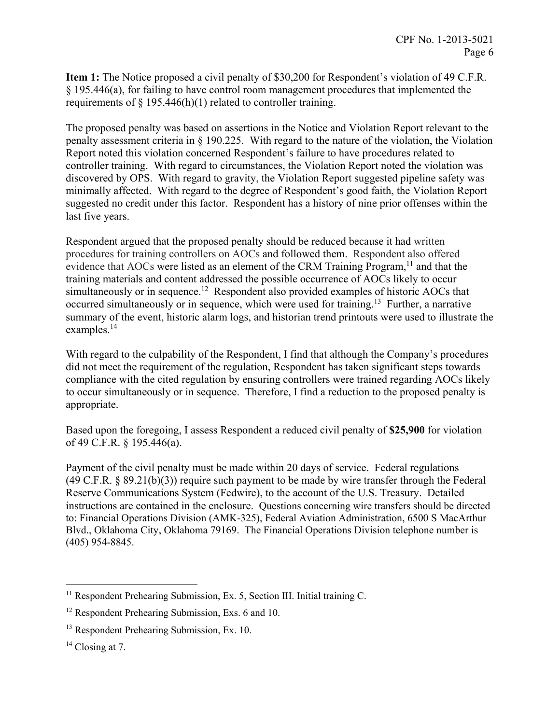**Item 1:** The Notice proposed a civil penalty of \$30,200 for Respondent's violation of 49 C.F.R. § 195.446(a), for failing to have control room management procedures that implemented the requirements of  $\S$  195.446(h)(1) related to controller training.

The proposed penalty was based on assertions in the Notice and Violation Report relevant to the penalty assessment criteria in § 190.225. With regard to the nature of the violation, the Violation Report noted this violation concerned Respondent's failure to have procedures related to controller training. With regard to circumstances, the Violation Report noted the violation was discovered by OPS. With regard to gravity, the Violation Report suggested pipeline safety was minimally affected. With regard to the degree of Respondent's good faith, the Violation Report suggested no credit under this factor. Respondent has a history of nine prior offenses within the last five years.

Respondent argued that the proposed penalty should be reduced because it had written procedures for training controllers on AOCs and followed them. Respondent also offered evidence that AOCs were listed as an element of the CRM Training Program,  $11$  and that the training materials and content addressed the possible occurrence of AOCs likely to occur simultaneously or in sequence.<sup>12</sup> Respondent also provided examples of historic AOCs that occurred simultaneously or in sequence, which were used for training.<sup>13</sup> Further, a narrative summary of the event, historic alarm logs, and historian trend printouts were used to illustrate the examples.14

With regard to the culpability of the Respondent, I find that although the Company's procedures did not meet the requirement of the regulation, Respondent has taken significant steps towards compliance with the cited regulation by ensuring controllers were trained regarding AOCs likely to occur simultaneously or in sequence. Therefore, I find a reduction to the proposed penalty is appropriate.

Based upon the foregoing, I assess Respondent a reduced civil penalty of **\$25,900** for violation of 49 C.F.R. § 195.446(a).

Payment of the civil penalty must be made within 20 days of service. Federal regulations (49 C.F.R. § 89.21(b)(3)) require such payment to be made by wire transfer through the Federal Reserve Communications System (Fedwire), to the account of the U.S. Treasury. Detailed instructions are contained in the enclosure. Questions concerning wire transfers should be directed to: Financial Operations Division (AMK-325), Federal Aviation Administration, 6500 S MacArthur Blvd., Oklahoma City, Oklahoma 79169. The Financial Operations Division telephone number is (405) 954-8845.

 $\overline{a}$ 

 $11$  Respondent Prehearing Submission, Ex. 5, Section III. Initial training C.

<sup>&</sup>lt;sup>12</sup> Respondent Prehearing Submission, Exs. 6 and 10.

<sup>&</sup>lt;sup>13</sup> Respondent Prehearing Submission, Ex. 10.

 $14$  Closing at 7.